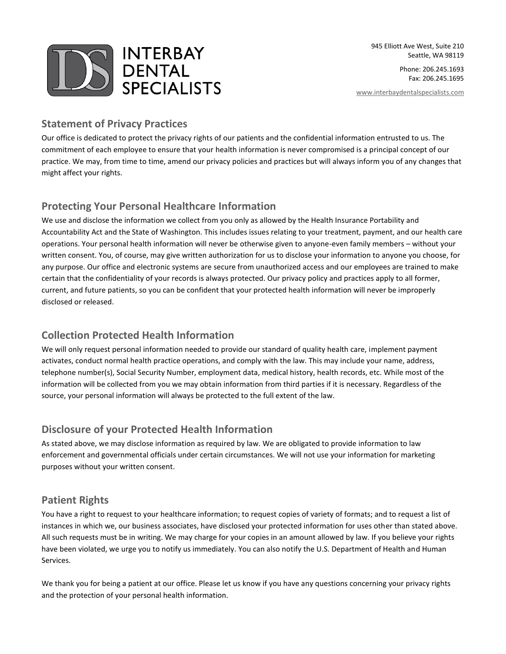

Phone: 206.245.1693 Fax: 206.245.1695

[www.interbaydentalspecialists.com](http://www.interbaydentalspecialists.com/)

#### **Statement of Privacy Practices**

Our office is dedicated to protect the privacy rights of our patients and the confidential information entrusted to us. The commitment of each employee to ensure that your health information is never compromised is a principal concept of our practice. We may, from time to time, amend our privacy policies and practices but will always inform you of any changes that might affect your rights.

#### **Protecting Your Personal Healthcare Information**

We use and disclose the information we collect from you only as allowed by the Health Insurance Portability and Accountability Act and the State of Washington. This includes issues relating to your treatment, payment, and our health care operations. Your personal health information will never be otherwise given to anyone-even family members – without your written consent. You, of course, may give written authorization for us to disclose your information to anyone you choose, for any purpose. Our office and electronic systems are secure from unauthorized access and our employees are trained to make certain that the confidentiality of your records is always protected. Our privacy policy and practices apply to all former, current, and future patients, so you can be confident that your protected health information will never be improperly disclosed or released.

## **Collection Protected Health Information**

We will only request personal information needed to provide our standard of quality health care, implement payment activates, conduct normal health practice operations, and comply with the law. This may include your name, address, telephone number(s), Social Security Number, employment data, medical history, health records, etc. While most of the information will be collected from you we may obtain information from third parties if it is necessary. Regardless of the source, your personal information will always be protected to the full extent of the law.

## **Disclosure of your Protected Health Information**

As stated above, we may disclose information as required by law. We are obligated to provide information to law enforcement and governmental officials under certain circumstances. We will not use your information for marketing purposes without your written consent.

## **Patient Rights**

You have a right to request to your healthcare information; to request copies of variety of formats; and to request a list of instances in which we, our business associates, have disclosed your protected information for uses other than stated above. All such requests must be in writing. We may charge for your copies in an amount allowed by law. If you believe your rights have been violated, we urge you to notify us immediately. You can also notify the U.S. Department of Health and Human Services.

We thank you for being a patient at our office. Please let us know if you have any questions concerning your privacy rights and the protection of your personal health information.